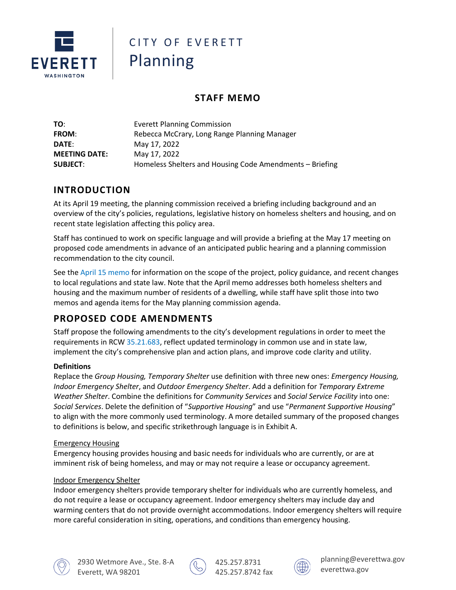

# CITY OF FVFRFTT Planning

# **STAFF MEMO**

| TO:                  | <b>Everett Planning Commission</b>                       |
|----------------------|----------------------------------------------------------|
| <b>FROM:</b>         | Rebecca McCrary, Long Range Planning Manager             |
| DATE:                | May 17, 2022                                             |
| <b>MEETING DATE:</b> | May 17, 2022                                             |
| <b>SUBJECT:</b>      | Homeless Shelters and Housing Code Amendments - Briefing |

# **INTRODUCTION**

At its April 19 meeting, the planning commission received a briefing including background and an overview of the city's policies, regulations, legislative history on homeless shelters and housing, and on recent state legislation affecting this policy area.

Staff has continued to work on specific language and will provide a briefing at the May 17 meeting on proposed code amendments in advance of an anticipated public hearing and a planning commission recommendation to the city council.

See the [April 15 memo](https://www.everettwa.gov/DocumentCenter/View/31974/Agenda-2-Shelter-and-Housing-for-Homeless-Individuals) for information on the scope of the project, policy guidance, and recent changes to local regulations and state law. Note that the April memo addresses both homeless shelters and housing and the maximum number of residents of a dwelling, while staff have split those into two memos and agenda items for the May planning commission agenda.

# **PROPOSED CODE AMENDMENTS**

Staff propose the following amendments to the city's development regulations in order to meet the requirements in RCW [35.21.683,](https://app.leg.wa.gov/RCW/default.aspx?cite=35.21.683) reflect updated terminology in common use and in state law, implement the city's comprehensive plan and action plans, and improve code clarity and utility.

#### **Definitions**

Replace the *Group Housing, Temporary Shelter* use definition with three new ones: *Emergency Housing, Indoor Emergency Shelter*, and *Outdoor Emergency Shelter*. Add a definition for *Temporary Extreme Weather Shelter*. Combine the definitions for *Community Services* and *Social Service Facility* into one: *Social Services*. Delete the definition of "*Supportive Housing*" and use "*Permanent Supportive Housing*" to align with the more commonly used terminology. A more detailed summary of the proposed changes to definitions is below, and specific strikethrough language is in Exhibit A.

#### Emergency Housing

Emergency housing provides housing and basic needs for individuals who are currently, or are at imminent risk of being homeless, and may or may not require a lease or occupancy agreement.

#### Indoor Emergency Shelter

Indoor emergency shelters provide temporary shelter for individuals who are currently homeless, and do not require a lease or occupancy agreement. Indoor emergency shelters may include day and warming centers that do not provide overnight accommodations. Indoor emergency shelters will require more careful consideration in siting, operations, and conditions than emergency housing.





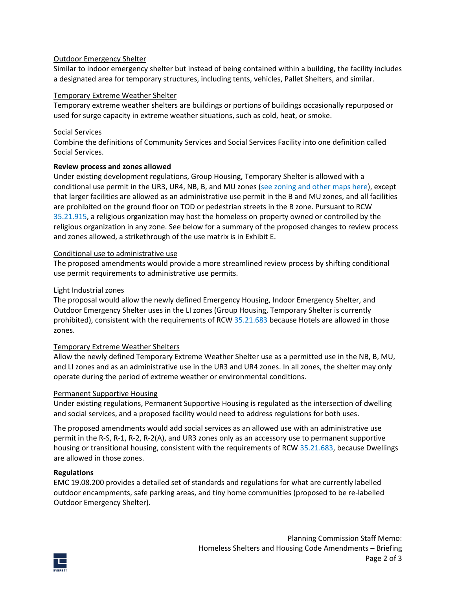#### Outdoor Emergency Shelter

Similar to indoor emergency shelter but instead of being contained within a building, the facility includes a designated area for temporary structures, including tents, vehicles, Pallet Shelters, and similar.

#### Temporary Extreme Weather Shelter

Temporary extreme weather shelters are buildings or portions of buildings occasionally repurposed or used for surge capacity in extreme weather situations, such as cold, heat, or smoke.

#### Social Services

Combine the definitions of Community Services and Social Services Facility into one definition called Social Services.

#### **Review process and zones allowed**

Under existing development regulations, Group Housing, Temporary Shelter is allowed with a conditional use permit in the UR3, UR4, NB, B, and MU zones [\(see zoning and other maps here\)](https://www.everettwa.gov/2205/Map-Gallery), except that larger facilities are allowed as an administrative use permit in the B and MU zones, and all facilities are prohibited on the ground floor on TOD or pedestrian streets in the B zone. Pursuant to RCW [35.21.915,](https://everett.municipal.codes/WA/RCW/35.21.915) a religious organization may host the homeless on property owned or controlled by the religious organization in any zone. See below for a summary of the proposed changes to review process and zones allowed, a strikethrough of the use matrix is in Exhibit E.

#### Conditional use to administrative use

The proposed amendments would provide a more streamlined review process by shifting conditional use permit requirements to administrative use permits.

#### Light Industrial zones

The proposal would allow the newly defined Emergency Housing, Indoor Emergency Shelter, and Outdoor Emergency Shelter uses in the LI zones (Group Housing, Temporary Shelter is currently prohibited), consistent with the requirements of RC[W 35.21.683](https://app.leg.wa.gov/RCW/default.aspx?cite=35.21.683) because Hotels are allowed in those zones.

#### Temporary Extreme Weather Shelters

Allow the newly defined Temporary Extreme Weather Shelter use as a permitted use in the NB, B, MU, and LI zones and as an administrative use in the UR3 and UR4 zones. In all zones, the shelter may only operate during the period of extreme weather or environmental conditions.

#### Permanent Supportive Housing

Under existing regulations, Permanent Supportive Housing is regulated as the intersection of dwelling and social services, and a proposed facility would need to address regulations for both uses.

The proposed amendments would add social services as an allowed use with an administrative use permit in the R-S, R-1, R-2, R-2(A), and UR3 zones only as an accessory use to permanent supportive housing or transitional housing, consistent with the requirements of RCW [35.21.683,](https://app.leg.wa.gov/RCW/default.aspx?cite=35.21.683) because Dwellings are allowed in those zones.

#### **Regulations**

EMC 19.08.200 provides a detailed set of standards and regulations for what are currently labelled outdoor encampments, safe parking areas, and tiny home communities (proposed to be re-labelled Outdoor Emergency Shelter).

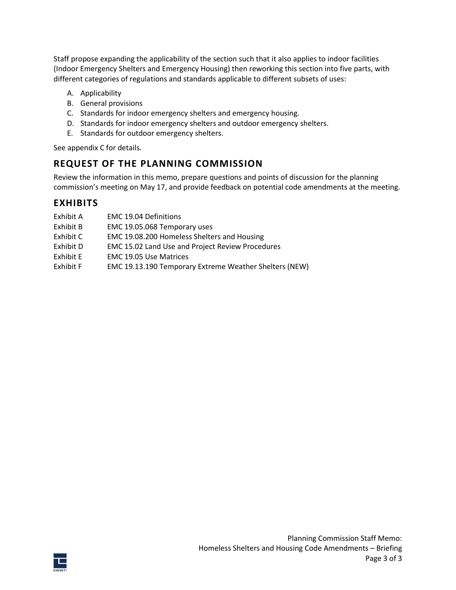Staff propose expanding the applicability of the section such that it also applies to indoor facilities (Indoor Emergency Shelters and Emergency Housing) then reworking this section into five parts, with different categories of regulations and standards applicable to different subsets of uses:

- A. Applicability
- B. General provisions
- C. Standards for indoor emergency shelters and emergency housing.
- D. Standards for indoor emergency shelters and outdoor emergency shelters.
- E. Standards for outdoor emergency shelters.

See appendix C for details.

### **REQUEST OF THE PLANNING COMMISSION**

Review the information in this memo, prepare questions and points of discussion for the planning commission's meeting on May 17, and provide feedback on potential code amendments at the meeting.

### **EXHIBITS**

| Exhibit A | <b>EMC 19.04 Definitions</b>                            |
|-----------|---------------------------------------------------------|
| Exhibit B | EMC 19.05.068 Temporary uses                            |
| Exhibit C | EMC 19.08.200 Homeless Shelters and Housing             |
| Exhibit D | <b>EMC 15.02 Land Use and Project Review Procedures</b> |
| Exhibit E | <b>EMC 19.05 Use Matrices</b>                           |
| Exhibit F | EMC 19.13.190 Temporary Extreme Weather Shelters (NEW)  |

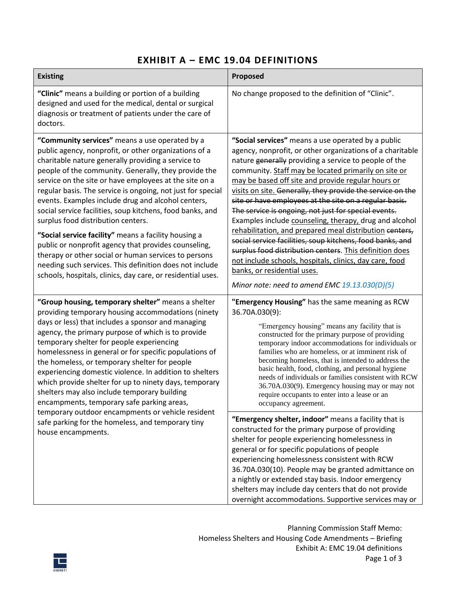# **EXHIBIT A – EMC 19.04 DEFINITIONS**

| <b>Existing</b>                                                                                                                                                                                                                                                                                                                                                                                                                                                                                                                                                                                                                                                                                                                                                                                           | Proposed                                                                                                                                                                                                                                                                                                                                                                                                                                                                                                                                                                                                                                                                                                                                                                                                                                                         |  |  |  |  |  |
|-----------------------------------------------------------------------------------------------------------------------------------------------------------------------------------------------------------------------------------------------------------------------------------------------------------------------------------------------------------------------------------------------------------------------------------------------------------------------------------------------------------------------------------------------------------------------------------------------------------------------------------------------------------------------------------------------------------------------------------------------------------------------------------------------------------|------------------------------------------------------------------------------------------------------------------------------------------------------------------------------------------------------------------------------------------------------------------------------------------------------------------------------------------------------------------------------------------------------------------------------------------------------------------------------------------------------------------------------------------------------------------------------------------------------------------------------------------------------------------------------------------------------------------------------------------------------------------------------------------------------------------------------------------------------------------|--|--|--|--|--|
| "Clinic" means a building or portion of a building<br>designed and used for the medical, dental or surgical<br>diagnosis or treatment of patients under the care of<br>doctors.                                                                                                                                                                                                                                                                                                                                                                                                                                                                                                                                                                                                                           | No change proposed to the definition of "Clinic".                                                                                                                                                                                                                                                                                                                                                                                                                                                                                                                                                                                                                                                                                                                                                                                                                |  |  |  |  |  |
| "Community services" means a use operated by a<br>public agency, nonprofit, or other organizations of a<br>charitable nature generally providing a service to<br>people of the community. Generally, they provide the<br>service on the site or have employees at the site on a<br>regular basis. The service is ongoing, not just for special<br>events. Examples include drug and alcohol centers,<br>social service facilities, soup kitchens, food banks, and<br>surplus food distribution centers.<br>"Social service facility" means a facility housing a<br>public or nonprofit agency that provides counseling,<br>therapy or other social or human services to persons<br>needing such services. This definition does not include<br>schools, hospitals, clinics, day care, or residential uses. | "Social services" means a use operated by a public<br>agency, nonprofit, or other organizations of a charitable<br>nature generally providing a service to people of the<br>community. Staff may be located primarily on site or<br>may be based off site and provide regular hours or<br>visits on site. Generally, they provide the service on the<br>site or have employees at the site on a regular basis.<br>The service is ongoing, not just for special events.<br>Examples include counseling, therapy, drug and alcohol<br>rehabilitation, and prepared meal distribution centers,<br>social service facilities, soup kitchens, food banks, and<br>surplus food distribution centers. This definition does<br>not include schools, hospitals, clinics, day care, food<br>banks, or residential uses.<br>Minor note: need to amend EMC $19.13.030(D)(5)$ |  |  |  |  |  |
| "Group housing, temporary shelter" means a shelter<br>providing temporary housing accommodations (ninety<br>days or less) that includes a sponsor and managing<br>agency, the primary purpose of which is to provide<br>temporary shelter for people experiencing<br>homelessness in general or for specific populations of<br>the homeless, or temporary shelter for people<br>experiencing domestic violence. In addition to shelters<br>which provide shelter for up to ninety days, temporary<br>shelters may also include temporary building<br>encampments, temporary safe parking areas,                                                                                                                                                                                                           | "Emergency Housing" has the same meaning as RCW<br>36.70A.030(9):<br>"Emergency housing" means any facility that is<br>constructed for the primary purpose of providing<br>temporary indoor accommodations for individuals or<br>families who are homeless, or at imminent risk of<br>becoming homeless, that is intended to address the<br>basic health, food, clothing, and personal hygiene<br>needs of individuals or families consistent with RCW<br>36.70A.030(9). Emergency housing may or may not<br>require occupants to enter into a lease or an<br>occupancy agreement.                                                                                                                                                                                                                                                                               |  |  |  |  |  |
| temporary outdoor encampments or vehicle resident<br>safe parking for the homeless, and temporary tiny<br>house encampments.                                                                                                                                                                                                                                                                                                                                                                                                                                                                                                                                                                                                                                                                              | "Emergency shelter, indoor" means a facility that is<br>constructed for the primary purpose of providing<br>shelter for people experiencing homelessness in<br>general or for specific populations of people<br>experiencing homelessness consistent with RCW<br>36.70A.030(10). People may be granted admittance on<br>a nightly or extended stay basis. Indoor emergency<br>shelters may include day centers that do not provide<br>overnight accommodations. Supportive services may or                                                                                                                                                                                                                                                                                                                                                                       |  |  |  |  |  |

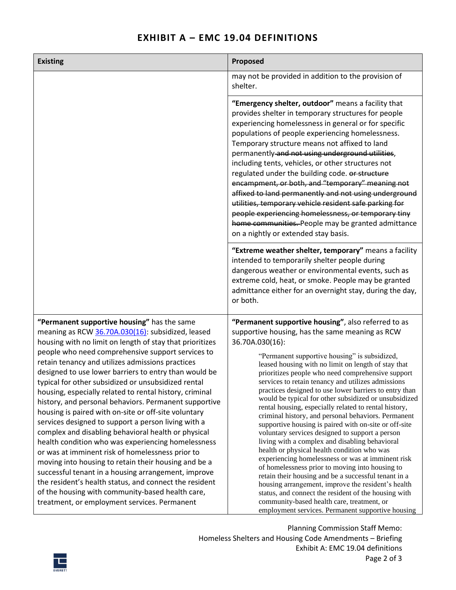# **EXHIBIT A – EMC 19.04 DEFINITIONS**

| <b>Existing</b>                                                                                                                                                                                                                                                                                                                                                                                                                                                                                                                                                                                                                                                                                                                                                                                                                                                                                                                                                                                                                                                        | Proposed                                                                                                                                                                                                                                                                                                                                                                                                                                                                                                                                                                                                                                                                                                                                                                                                                                                                                                                                                                                                                                                                                                                                                                      |  |  |  |  |  |  |
|------------------------------------------------------------------------------------------------------------------------------------------------------------------------------------------------------------------------------------------------------------------------------------------------------------------------------------------------------------------------------------------------------------------------------------------------------------------------------------------------------------------------------------------------------------------------------------------------------------------------------------------------------------------------------------------------------------------------------------------------------------------------------------------------------------------------------------------------------------------------------------------------------------------------------------------------------------------------------------------------------------------------------------------------------------------------|-------------------------------------------------------------------------------------------------------------------------------------------------------------------------------------------------------------------------------------------------------------------------------------------------------------------------------------------------------------------------------------------------------------------------------------------------------------------------------------------------------------------------------------------------------------------------------------------------------------------------------------------------------------------------------------------------------------------------------------------------------------------------------------------------------------------------------------------------------------------------------------------------------------------------------------------------------------------------------------------------------------------------------------------------------------------------------------------------------------------------------------------------------------------------------|--|--|--|--|--|--|
|                                                                                                                                                                                                                                                                                                                                                                                                                                                                                                                                                                                                                                                                                                                                                                                                                                                                                                                                                                                                                                                                        | may not be provided in addition to the provision of<br>shelter.                                                                                                                                                                                                                                                                                                                                                                                                                                                                                                                                                                                                                                                                                                                                                                                                                                                                                                                                                                                                                                                                                                               |  |  |  |  |  |  |
|                                                                                                                                                                                                                                                                                                                                                                                                                                                                                                                                                                                                                                                                                                                                                                                                                                                                                                                                                                                                                                                                        | "Emergency shelter, outdoor" means a facility that<br>provides shelter in temporary structures for people<br>experiencing homelessness in general or for specific<br>populations of people experiencing homelessness.<br>Temporary structure means not affixed to land<br>permanently and not using underground utilities,<br>including tents, vehicles, or other structures not<br>regulated under the building code. or structure<br>encampment, or both, and "temporary" meaning not<br>affixed to land permanently and not using underground<br>utilities, temporary vehicle resident safe parking for<br>people experiencing homelessness, or temporary tiny<br>home communities. People may be granted admittance<br>on a nightly or extended stay basis.                                                                                                                                                                                                                                                                                                                                                                                                               |  |  |  |  |  |  |
|                                                                                                                                                                                                                                                                                                                                                                                                                                                                                                                                                                                                                                                                                                                                                                                                                                                                                                                                                                                                                                                                        | "Extreme weather shelter, temporary" means a facility<br>intended to temporarily shelter people during<br>dangerous weather or environmental events, such as<br>extreme cold, heat, or smoke. People may be granted<br>admittance either for an overnight stay, during the day,<br>or both.                                                                                                                                                                                                                                                                                                                                                                                                                                                                                                                                                                                                                                                                                                                                                                                                                                                                                   |  |  |  |  |  |  |
| "Permanent supportive housing" has the same<br>meaning as RCW 36.70A.030(16): subsidized, leased<br>housing with no limit on length of stay that prioritizes<br>people who need comprehensive support services to<br>retain tenancy and utilizes admissions practices<br>designed to use lower barriers to entry than would be<br>typical for other subsidized or unsubsidized rental<br>housing, especially related to rental history, criminal<br>history, and personal behaviors. Permanent supportive<br>housing is paired with on-site or off-site voluntary<br>services designed to support a person living with a<br>complex and disabling behavioral health or physical<br>health condition who was experiencing homelessness<br>or was at imminent risk of homelessness prior to<br>moving into housing to retain their housing and be a<br>successful tenant in a housing arrangement, improve<br>the resident's health status, and connect the resident<br>of the housing with community-based health care,<br>treatment, or employment services. Permanent | "Permanent supportive housing", also referred to as<br>supportive housing, has the same meaning as RCW<br>36.70A.030(16):<br>"Permanent supportive housing" is subsidized,<br>leased housing with no limit on length of stay that<br>prioritizes people who need comprehensive support<br>services to retain tenancy and utilizes admissions<br>practices designed to use lower barriers to entry than<br>would be typical for other subsidized or unsubsidized<br>rental housing, especially related to rental history,<br>criminal history, and personal behaviors. Permanent<br>supportive housing is paired with on-site or off-site<br>voluntary services designed to support a person<br>living with a complex and disabling behavioral<br>health or physical health condition who was<br>experiencing homelessness or was at imminent risk<br>of homelessness prior to moving into housing to<br>retain their housing and be a successful tenant in a<br>housing arrangement, improve the resident's health<br>status, and connect the resident of the housing with<br>community-based health care, treatment, or<br>employment services. Permanent supportive housing |  |  |  |  |  |  |

Planning Commission Staff Memo: Homeless Shelters and Housing Code Amendments – Briefing Exhibit A: EMC 19.04 definitions Page 2 of 3

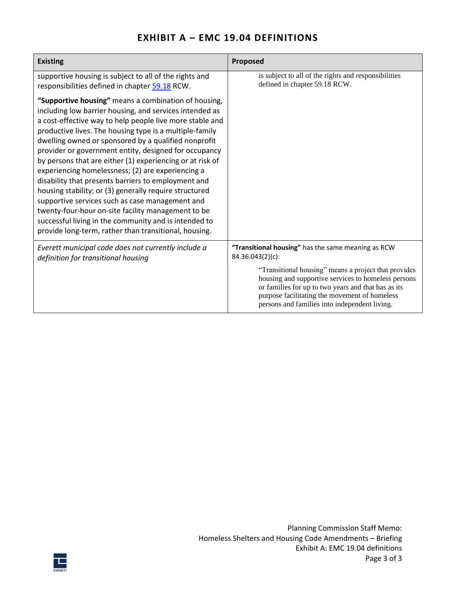| <b>Existing</b>                                                                                                                                                                                                                                                                                                                                                                                                                                                                                                                                                                                                                                                                                                                                                                                                       | Proposed                                                                                                                                                                                                                                                             |  |  |  |  |
|-----------------------------------------------------------------------------------------------------------------------------------------------------------------------------------------------------------------------------------------------------------------------------------------------------------------------------------------------------------------------------------------------------------------------------------------------------------------------------------------------------------------------------------------------------------------------------------------------------------------------------------------------------------------------------------------------------------------------------------------------------------------------------------------------------------------------|----------------------------------------------------------------------------------------------------------------------------------------------------------------------------------------------------------------------------------------------------------------------|--|--|--|--|
| supportive housing is subject to all of the rights and<br>responsibilities defined in chapter 59.18 RCW.                                                                                                                                                                                                                                                                                                                                                                                                                                                                                                                                                                                                                                                                                                              | is subject to all of the rights and responsibilities<br>defined in chapter 59.18 RCW.                                                                                                                                                                                |  |  |  |  |
| "Supportive housing" means a combination of housing,<br>including low barrier housing, and services intended as<br>a cost-effective way to help people live more stable and<br>productive lives. The housing type is a multiple-family<br>dwelling owned or sponsored by a qualified nonprofit<br>provider or government entity, designed for occupancy<br>by persons that are either (1) experiencing or at risk of<br>experiencing homelessness; (2) are experiencing a<br>disability that presents barriers to employment and<br>housing stability; or (3) generally require structured<br>supportive services such as case management and<br>twenty-four-hour on-site facility management to be<br>successful living in the community and is intended to<br>provide long-term, rather than transitional, housing. |                                                                                                                                                                                                                                                                      |  |  |  |  |
| Everett municipal code does not currently include a<br>definition for transitional housing                                                                                                                                                                                                                                                                                                                                                                                                                                                                                                                                                                                                                                                                                                                            | "Transitional housing" has the same meaning as RCW<br>84.36.043(2)(c):                                                                                                                                                                                               |  |  |  |  |
|                                                                                                                                                                                                                                                                                                                                                                                                                                                                                                                                                                                                                                                                                                                                                                                                                       | "Transitional housing" means a project that provides<br>housing and supportive services to homeless persons<br>or families for up to two years and that has as its<br>purpose facilitating the movement of homeless<br>persons and families into independent living. |  |  |  |  |

# **EXHIBIT A – EMC 19.04 DEFINITIONS**

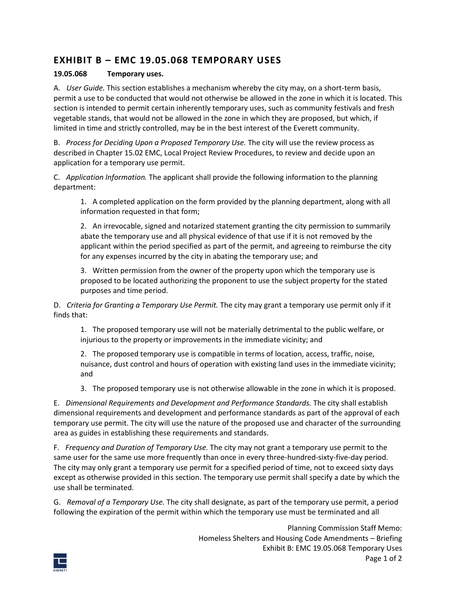# **EXHIBIT B – EMC 19.05.068 TEMPORARY USES**

#### **19.05.068 Temporary uses.**

A. *User Guide.* This section establishes a mechanism whereby the city may, on a short-term basis, permit a use to be conducted that would not otherwise be allowed in the zone in which it is located. This section is intended to permit certain inherently temporary uses, such as community festivals and fresh vegetable stands, that would not be allowed in the zone in which they are proposed, but which, if limited in time and strictly controlled, may be in the best interest of the Everett community.

B. *Process for Deciding Upon a Proposed Temporary Use.* The city will use the review process as described in Chapter [15.02](https://everett.municipal.codes/EMC/15.02) EMC, Local Project Review Procedures, to review and decide upon an application for a temporary use permit.

C. *Application Information.* The applicant shall provide the following information to the planning department:

1. A completed application on the form provided by the planning department, along with all information requested in that form;

2. An irrevocable, signed and notarized statement granting the city permission to summarily abate the temporary use and all physical evidence of that use if it is not removed by the applicant within the period specified as part of the permit, and agreeing to reimburse the city for any expenses incurred by the city in abating the temporary use; and

3. Written permission from the owner of the property upon which the temporary use is proposed to be located authorizing the proponent to use the subject property for the stated purposes and time period.

D. *Criteria for Granting a Temporary Use Permit.* The city may grant a temporary use permit only if it finds that:

1. The proposed temporary use will not be materially detrimental to the public welfare, or injurious to the property or improvements in the immediate vicinity; and

2. The proposed temporary use is compatible in terms of location, access, traffic, noise, nuisance, dust control and hours of operation with existing land uses in the immediate vicinity; and

3. The proposed temporary use is not otherwise allowable in the zone in which it is proposed.

E. *Dimensional Requirements and Development and Performance Standards.* The city shall establish dimensional requirements and development and performance standards as part of the approval of each temporary use permit. The city will use the nature of the proposed use and character of the surrounding area as guides in establishing these requirements and standards.

F. *Frequency and Duration of Temporary Use.* The city may not grant a temporary use permit to the same user for the same use more frequently than once in every three-hundred-sixty-five-day period. The city may only grant a temporary use permit for a specified period of time, not to exceed sixty days except as otherwise provided in this section. The temporary use permit shall specify a date by which the use shall be terminated.

G. *Removal of a Temporary Use.* The city shall designate, as part of the temporary use permit, a period following the expiration of the permit within which the temporary use must be terminated and all

> Planning Commission Staff Memo: Homeless Shelters and Housing Code Amendments – Briefing Exhibit B: EMC 19.05.068 Temporary Uses Page 1 of 2

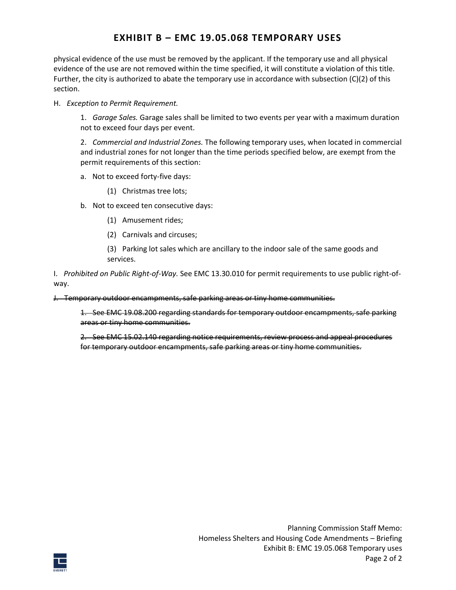# **EXHIBIT B – EMC 19.05.068 TEMPORARY USES**

physical evidence of the use must be removed by the applicant. If the temporary use and all physical evidence of the use are not removed within the time specified, it will constitute a violation of this title. Further, the city is authorized to abate the temporary use in accordance with subsection (C)(2) of this section.

H. *Exception to Permit Requirement.*

1. *Garage Sales.* Garage sales shall be limited to two events per year with a maximum duration not to exceed four days per event.

2. *Commercial and Industrial Zones.* The following temporary uses, when located in commercial and industrial zones for not longer than the time periods specified below, are exempt from the permit requirements of this section:

- a. Not to exceed forty-five days:
	- (1) Christmas tree lots;
- b. Not to exceed ten consecutive days:
	- (1) Amusement rides;
	- (2) Carnivals and circuses;
	- (3) Parking lot sales which are ancillary to the indoor sale of the same goods and services.

I. *Prohibited on Public Right-of-Way.* See EM[C 13.30.010](https://everett.municipal.codes/EMC/13.30.010) for permit requirements to use public right-ofway.

J. Temporary outdoor encampments, safe parking areas or tiny home communities.

1. See EMC [19.08.200](https://everett.municipal.codes/EMC/19.08.200) regarding standards for temporary outdoor encampments, safe parking areas or tiny home communities.

2. See EMC [15.02.140](https://everett.municipal.codes/EMC/15.02.140) regarding notice requirements, review process and appeal procedures for temporary outdoor encampments, safe parking areas or tiny home communities.

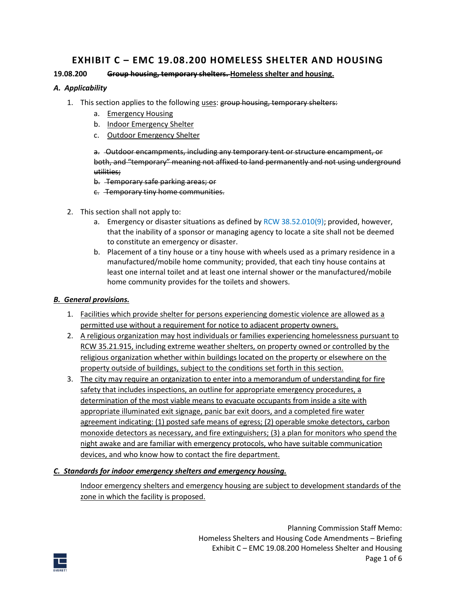#### **19.08.200 Group housing, temporary shelters. Homeless shelter and housing.**

#### *A. Applicability*

- 1. This section applies to the following uses: group housing, temporary shelters:
	- a. Emergency Housing
	- b. Indoor Emergency Shelter
	- c. Outdoor Emergency Shelter

a. Outdoor encampments, including any temporary tent or structure encampment, or both, and "temporary" meaning not affixed to land permanently and not using underground utilities;

- b. Temporary safe parking areas; or
- c. Temporary tiny home communities.
- 2. This section shall not apply to:
	- a. Emergency or disaster situations as defined by  $RCW$  38.52.010(9); provided, however, that the inability of a sponsor or managing agency to locate a site shall not be deemed to constitute an emergency or disaster.
	- b. Placement of a tiny house or a tiny house with wheels used as a primary residence in a manufactured/mobile home community; provided, that each tiny house contains at least one internal toilet and at least one internal shower or the manufactured/mobile home community provides for the toilets and showers.

#### *B. General provisions.*

- 1. Facilities which provide shelter for persons experiencing domestic violence are allowed as a permitted use without a requirement for notice to adjacent property owners.
- 2. A religious organization may host individuals or families experiencing homelessness pursuant to RCW 35.21.915, including extreme weather shelters, on property owned or controlled by the religious organization whether within buildings located on the property or elsewhere on the property outside of buildings, subject to the conditions set forth in this section.
- 3. The city may require an organization to enter into a memorandum of understanding for fire safety that includes inspections, an outline for appropriate emergency procedures, a determination of the most viable means to evacuate occupants from inside a site with appropriate illuminated exit signage, panic bar exit doors, and a completed fire water agreement indicating: (1) posted safe means of egress; (2) operable smoke detectors, carbon monoxide detectors as necessary, and fire extinguishers; (3) a plan for monitors who spend the night awake and are familiar with emergency protocols, who have suitable communication devices, and who know how to contact the fire department.

#### *C. Standards for indoor emergency shelters and emergency housing.*

Indoor emergency shelters and emergency housing are subject to development standards of the zone in which the facility is proposed.

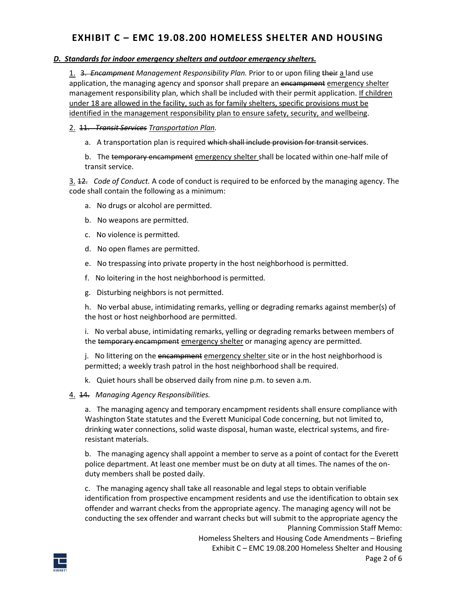#### *D. Standards for indoor emergency shelters and outdoor emergency shelters.*

1. 3. *Encampment Management Responsibility Plan.* Prior to or upon filing their a land use application, the managing agency and sponsor shall prepare an encampment emergency shelter management responsibility plan, which shall be included with their permit application. If children under 18 are allowed in the facility, such as for family shelters, specific provisions must be identified in the management responsibility plan to ensure safety, security, and wellbeing.

#### 2. 11. *Transit Services Transportation Plan.*

a. A transportation plan is required which shall include provision for transit services.

b. The temporary encampment emergency shelter shall be located within one-half mile of transit service.

3. 12. *Code of Conduct.* A code of conduct is required to be enforced by the managing agency. The code shall contain the following as a minimum:

- a. No drugs or alcohol are permitted.
- b. No weapons are permitted.
- c. No violence is permitted.
- d. No open flames are permitted.
- e. No trespassing into private property in the host neighborhood is permitted.
- f. No loitering in the host neighborhood is permitted.
- g. Disturbing neighbors is not permitted.

h. No verbal abuse, intimidating remarks, yelling or degrading remarks against member(s) of the host or host neighborhood are permitted.

i. No verbal abuse, intimidating remarks, yelling or degrading remarks between members of the temporary encampment emergency shelter or managing agency are permitted.

j. No littering on the encampment emergency shelter site or in the host neighborhood is permitted; a weekly trash patrol in the host neighborhood shall be required.

- k. Quiet hours shall be observed daily from nine p.m. to seven a.m.
- 4. 14. *Managing Agency Responsibilities.*

a. The managing agency and temporary encampment residents shall ensure compliance with Washington State statutes and the Everett Municipal Code concerning, but not limited to, drinking water connections, solid waste disposal, human waste, electrical systems, and fireresistant materials.

b. The managing agency shall appoint a member to serve as a point of contact for the Everett police department. At least one member must be on duty at all times. The names of the onduty members shall be posted daily.

Planning Commission Staff Memo: c. The managing agency shall take all reasonable and legal steps to obtain verifiable identification from prospective encampment residents and use the identification to obtain sex offender and warrant checks from the appropriate agency. The managing agency will not be conducting the sex offender and warrant checks but will submit to the appropriate agency the

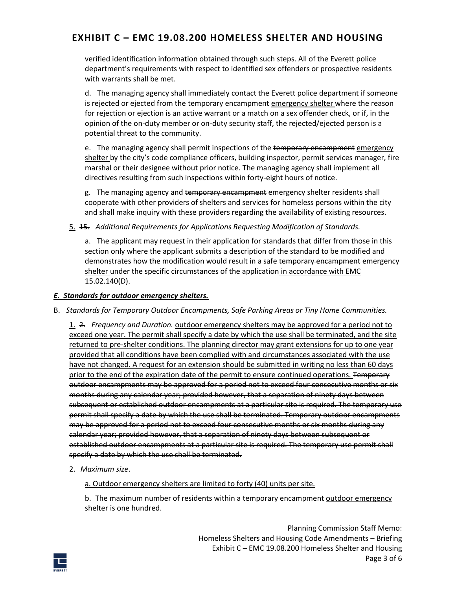verified identification information obtained through such steps. All of the Everett police department's requirements with respect to identified sex offenders or prospective residents with warrants shall be met.

d. The managing agency shall immediately contact the Everett police department if someone is rejected or ejected from the temporary encampment emergency shelter where the reason for rejection or ejection is an active warrant or a match on a sex offender check, or if, in the opinion of the on-duty member or on-duty security staff, the rejected/ejected person is a potential threat to the community.

e. The managing agency shall permit inspections of the temporary encampment emergency shelter by the city's code compliance officers, building inspector, permit services manager, fire marshal or their designee without prior notice. The managing agency shall implement all directives resulting from such inspections within forty-eight hours of notice.

g. The managing agency and temporary encampment emergency shelter residents shall cooperate with other providers of shelters and services for homeless persons within the city and shall make inquiry with these providers regarding the availability of existing resources.

#### 5. 15. *Additional Requirements for Applications Requesting Modification of Standards.*

a. The applicant may request in their application for standards that differ from those in this section only where the applicant submits a description of the standard to be modified and demonstrates how the modification would result in a safe temporary encampment emergency shelter under the specific circumstances of the application in accordance with EMC 15.02.140(D).

#### *E. Standards for outdoor emergency shelters.*

#### B. *Standards for Temporary Outdoor Encampments, Safe Parking Areas or Tiny Home Communities.*

1. 2. *Frequency and Duration.* outdoor emergency shelters may be approved for a period not to exceed one year. The permit shall specify a date by which the use shall be terminated, and the site returned to pre-shelter conditions. The planning director may grant extensions for up to one year provided that all conditions have been complied with and circumstances associated with the use have not changed. A request for an extension should be submitted in writing no less than 60 days prior to the end of the expiration date of the permit to ensure continued operations. Temporary outdoor encampments may be approved for a period not to exceed four consecutive months or six months during any calendar year; provided however, that a separation of ninety days between subsequent or established outdoor encampments at a particular site is required. The temporary use permit shall specify a date by which the use shall be terminated. Temporary outdoor encampments may be approved for a period not to exceed four consecutive months or six months during any calendar year; provided however, that a separation of ninety days between subsequent or established outdoor encampments at a particular site is required. The temporary use permit shall specify a date by which the use shall be terminated.

#### 2. *Maximum size*.

a. Outdoor emergency shelters are limited to forty (40) units per site.

b. The maximum number of residents within a temporary encampment outdoor emergency shelter is one hundred.

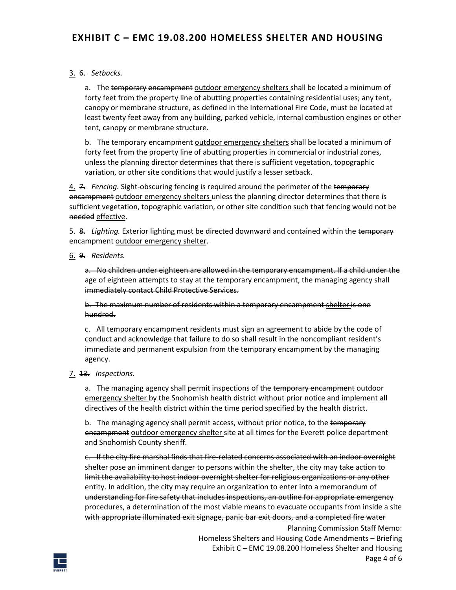#### 3. 6. *Setbacks.*

a. The temporary encampment outdoor emergency shelters shall be located a minimum of forty feet from the property line of abutting properties containing residential uses; any tent, canopy or membrane structure, as defined in the International Fire Code, must be located at least twenty feet away from any building, parked vehicle, internal combustion engines or other tent, canopy or membrane structure.

b. The temporary encampment outdoor emergency shelters shall be located a minimum of forty feet from the property line of abutting properties in commercial or industrial zones, unless the planning director determines that there is sufficient vegetation, topographic variation, or other site conditions that would justify a lesser setback.

4. 7. *Fencing.* Sight-obscuring fencing is required around the perimeter of the temporary encampment outdoor emergency shelters unless the planning director determines that there is sufficient vegetation, topographic variation, or other site condition such that fencing would not be needed effective.

5. 8. *Lighting.* Exterior lighting must be directed downward and contained within the temporary encampment outdoor emergency shelter.

6. 9. *Residents.*

a. No children under eighteen are allowed in the temporary encampment. If a child under the age of eighteen attempts to stay at the temporary encampment, the managing agency shall immediately contact Child Protective Services.

b. The maximum number of residents within a temporary encampment shelter is one hundred.

c. All temporary encampment residents must sign an agreement to abide by the code of conduct and acknowledge that failure to do so shall result in the noncompliant resident's immediate and permanent expulsion from the temporary encampment by the managing agency.

7. 13. *Inspections.*

a. The managing agency shall permit inspections of the temporary encampment outdoor emergency shelter by the Snohomish health district without prior notice and implement all directives of the health district within the time period specified by the health district.

b. The managing agency shall permit access, without prior notice, to the temporary encampment outdoor emergency shelter site at all times for the Everett police department and Snohomish County sheriff.

c. If the city fire marshal finds that fire-related concerns associated with an indoor overnight shelter pose an imminent danger to persons within the shelter, the city may take action to limit the availability to host indoor overnight shelter for religious organizations or any other entity. In addition, the city may require an organization to enter into a memorandum of understanding for fire safety that includes inspections, an outline for appropriate emergency procedures, a determination of the most viable means to evacuate occupants from inside a site with appropriate illuminated exit signage, panic bar exit doors, and a completed fire water

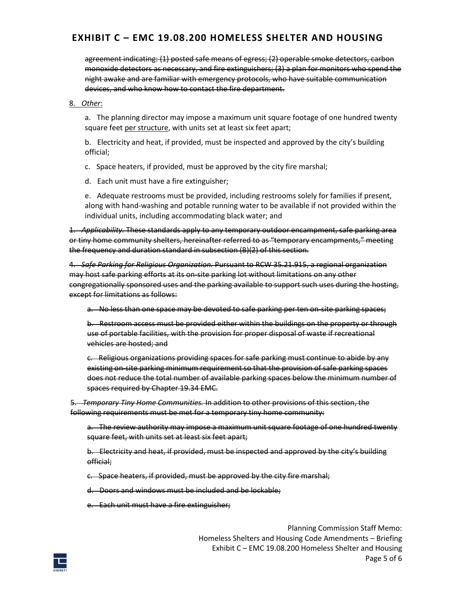agreement indicating: (1) posted safe means of egress; (2) operable smoke detectors, carbon monoxide detectors as necessary, and fire extinguishers; (3) a plan for monitors who spend the night awake and are familiar with emergency protocols, who have suitable communication devices, and who know how to contact the fire department.

8. *Other*:

a. The planning director may impose a maximum unit square footage of one hundred twenty square feet per structure, with units set at least six feet apart;

b. Electricity and heat, if provided, must be inspected and approved by the city's building official;

c. Space heaters, if provided, must be approved by the city fire marshal;

d. Each unit must have a fire extinguisher;

e. Adequate restrooms must be provided, including restrooms solely for families if present, along with hand-washing and potable running water to be available if not provided within the individual units, including accommodating black water; and

1. *Applicability.* These standards apply to any temporary outdoor encampment, safe parking area or tiny home community shelters, hereinafter referred to as "temporary encampments," meeting the frequency and duration standard in subsection (B)(2) of this section.

4. *Safe Parking for Religious Organization.* Pursuant to RCW [35.21.915,](https://everett.municipal.codes/WA/RCW/35.21.915) a regional organization may host safe parking efforts at its on-site parking lot without limitations on any other congregationally sponsored uses and the parking available to support such uses during the hosting, except for limitations as follows:

a. No less than one space may be devoted to safe parking per ten on-site parking spaces;

b. Restroom access must be provided either within the buildings on the property or through use of portable facilities, with the provision for proper disposal of waste if recreational vehicles are hosted; and

c. Religious organizations providing spaces for safe parking must continue to abide by any existing on-site parking minimum requirement so that the provision of safe parking spaces does not reduce the total number of available parking spaces below the minimum number of spaces required by Chapte[r 19.34](https://everett.municipal.codes/EMC/19.34) EMC.

5. *Temporary Tiny Home Communities.* In addition to other provisions of this section, the following requirements must be met for a temporary tiny home community:

a. The review authority may impose a maximum unit square footage of one hundred twenty square feet, with units set at least six feet apart;

b. Electricity and heat, if provided, must be inspected and approved by the city's building official;

c. Space heaters, if provided, must be approved by the city fire marshal;

d. Doors and windows must be included and be lockable;

e. Each unit must have a fire extinguisher;

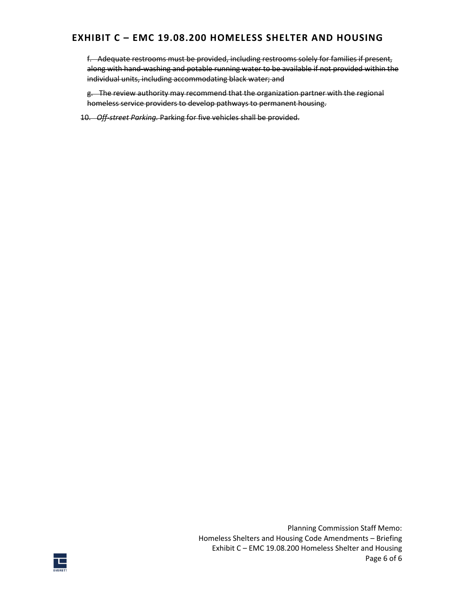f. Adequate restrooms must be provided, including restrooms solely for families if present, along with hand-washing and potable running water to be available if not provided within the individual units, including accommodating black water; and

g. The review authority may recommend that the organization partner with the regional homeless service providers to develop pathways to permanent housing.

10. *Off-street Parking.* Parking for five vehicles shall be provided.

Planning Commission Staff Memo: Homeless Shelters and Housing Code Amendments – Briefing Exhibit C – EMC 19.08.200 Homeless Shelter and Housing Page 6 of 6

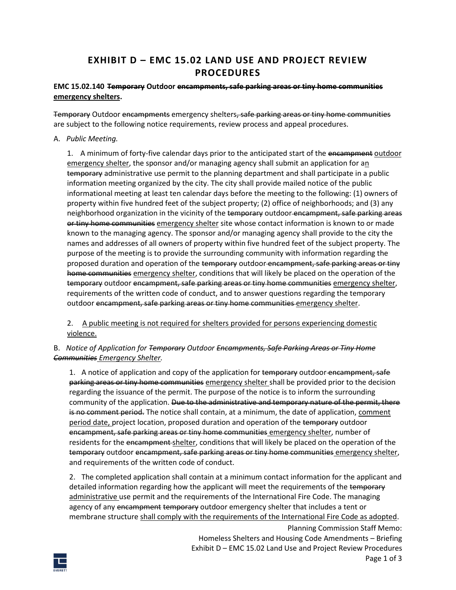# **EXHIBIT D – EMC 15.02 LAND USE AND PROJECT REVIEW PROCEDURES**

#### **EMC 15.02.140 Temporary Outdoor encampments, safe parking areas or tiny home communities emergency shelters.**

Temporary Outdoor encampments emergency shelters, safe parking areas or tiny home communities are subject to the following notice requirements, review process and appeal procedures.

A. *Public Meeting.*

1. A minimum of forty-five calendar days prior to the anticipated start of the encampment outdoor emergency shelter, the sponsor and/or managing agency shall submit an application for an temporary administrative use permit to the planning department and shall participate in a public information meeting organized by the city. The city shall provide mailed notice of the public informational meeting at least ten calendar days before the meeting to the following: (1) owners of property within five hundred feet of the subject property; (2) office of neighborhoods; and (3) any neighborhood organization in the vicinity of the temporary outdoor encampment, safe parking areas or tiny home communities emergency shelter site whose contact information is known to or made known to the managing agency. The sponsor and/or managing agency shall provide to the city the names and addresses of all owners of property within five hundred feet of the subject property. The purpose of the meeting is to provide the surrounding community with information regarding the proposed duration and operation of the temporary outdoor encampment, safe parking areas or tiny home communities emergency shelter, conditions that will likely be placed on the operation of the temporary outdoor encampment, safe parking areas or tiny home communities emergency shelter, requirements of the written code of conduct, and to answer questions regarding the temporary outdoor encampment, safe parking areas or tiny home communities emergency shelter.

2. A public meeting is not required for shelters provided for persons experiencing domestic violence.

#### B. *Notice of Application for Temporary Outdoor Encampments, Safe Parking Areas or Tiny Home Communities Emergency Shelter.*

1. A notice of application and copy of the application for temporary outdoor encampment, safe parking areas or tiny home communities emergency shelter shall be provided prior to the decision regarding the issuance of the permit. The purpose of the notice is to inform the surrounding community of the application. Due to the administrative and temporary nature of the permit, there is no comment period. The notice shall contain, at a minimum, the date of application, comment period date, project location, proposed duration and operation of the temporary outdoor encampment, safe parking areas or tiny home communities emergency shelter, number of residents for the encampment shelter, conditions that will likely be placed on the operation of the temporary outdoor encampment, safe parking areas or tiny home communities emergency shelter, and requirements of the written code of conduct.

2. The completed application shall contain at a minimum contact information for the applicant and detailed information regarding how the applicant will meet the requirements of the temporary administrative use permit and the requirements of the International Fire Code. The managing agency of any encampment temporary outdoor emergency shelter that includes a tent or membrane structure shall comply with the requirements of the International Fire Code as adopted.

> Planning Commission Staff Memo: Homeless Shelters and Housing Code Amendments – Briefing Exhibit D – EMC 15.02 Land Use and Project Review Procedures Page 1 of 3

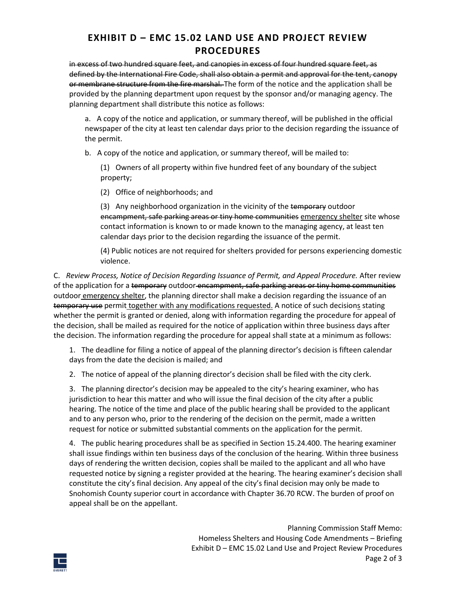# **EXHIBIT D – EMC 15.02 LAND USE AND PROJECT REVIEW PROCEDURES**

in excess of two hundred square feet, and canopies in excess of four hundred square feet, as defined by the International Fire Code, shall also obtain a permit and approval for the tent, canopy or membrane structure from the fire marshal. The form of the notice and the application shall be provided by the planning department upon request by the sponsor and/or managing agency. The planning department shall distribute this notice as follows:

a. A copy of the notice and application, or summary thereof, will be published in the official newspaper of the city at least ten calendar days prior to the decision regarding the issuance of the permit.

b. A copy of the notice and application, or summary thereof, will be mailed to:

(1) Owners of all property within five hundred feet of any boundary of the subject property;

(2) Office of neighborhoods; and

(3) Any neighborhood organization in the vicinity of the temporary outdoor encampment, safe parking areas or tiny home communities emergency shelter site whose contact information is known to or made known to the managing agency, at least ten calendar days prior to the decision regarding the issuance of the permit.

(4) Public notices are not required for shelters provided for persons experiencing domestic violence.

C. *Review Process, Notice of Decision Regarding Issuance of Permit, and Appeal Procedure.* After review of the application for a temporary outdoor encampment, safe parking areas or tiny home communities outdoor emergency shelter, the planning director shall make a decision regarding the issuance of an temporary use permit together with any modifications requested. A notice of such decisions stating whether the permit is granted or denied, along with information regarding the procedure for appeal of the decision, shall be mailed as required for the notice of application within three business days after the decision. The information regarding the procedure for appeal shall state at a minimum as follows:

1. The deadline for filing a notice of appeal of the planning director's decision is fifteen calendar days from the date the decision is mailed; and

2. The notice of appeal of the planning director's decision shall be filed with the city clerk.

3. The planning director's decision may be appealed to the city's hearing examiner, who has jurisdiction to hear this matter and who will issue the final decision of the city after a public hearing. The notice of the time and place of the public hearing shall be provided to the applicant and to any person who, prior to the rendering of the decision on the permit, made a written request for notice or submitted substantial comments on the application for the permit.

4. The public hearing procedures shall be as specified in Sectio[n 15.24.400.](https://everett.municipal.codes/EMC/15.24.400) The hearing examiner shall issue findings within ten business days of the conclusion of the hearing. Within three business days of rendering the written decision, copies shall be mailed to the applicant and all who have requested notice by signing a register provided at the hearing. The hearing examiner's decision shall constitute the city's final decision. Any appeal of the city's final decision may only be made to Snohomish County superior court in accordance with Chapte[r 36.70](https://everett.municipal.codes/WA/RCW/36.70) RCW. The burden of proof on appeal shall be on the appellant.

> Planning Commission Staff Memo: Homeless Shelters and Housing Code Amendments – Briefing Exhibit D – EMC 15.02 Land Use and Project Review Procedures Page 2 of 3

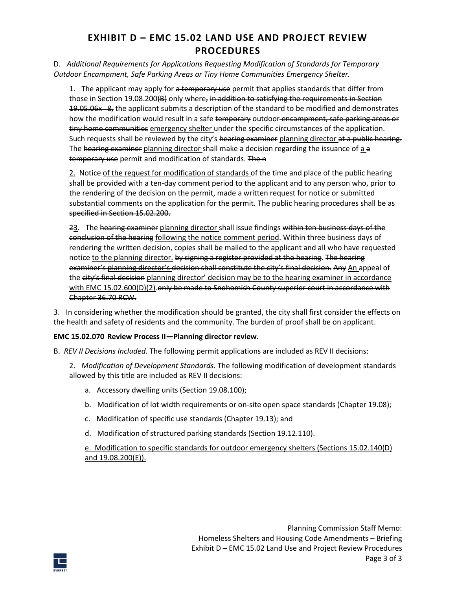# **EXHIBIT D – EMC 15.02 LAND USE AND PROJECT REVIEW PROCEDURES**

#### D. *Additional Requirements for Applications Requesting Modification of Standards for Temporary Outdoor Encampment, Safe Parking Areas or Tiny Home Communities Emergency Shelter.*

1. The applicant may apply for a temporary use permit that applies standards that differ from those in Section 19.08.200(B) only where, in addition to satisfying the requirements in Section 19.05.06x 8, the applicant submits a description of the standard to be modified and demonstrates how the modification would result in a safe temporary outdoor-encampment, safe parking areas or tiny home communities emergency shelter under the specific circumstances of the application. Such requests shall be reviewed by the city's hearing examiner planning director at a public hearing. The hearing examiner planning director shall make a decision regarding the issuance of a a temporary use permit and modification of standards. The n

2. Notice of the request for modification of standards of the time and place of the public hearing shall be provided with a ten-day comment period to the applicant and to any person who, prior to the rendering of the decision on the permit, made a written request for notice or submitted substantial comments on the application for the permit. The public hearing procedures shall be as specified in Sectio[n 15.02.200.](https://everett.municipal.codes/EMC/15.02.200)

23. The hearing examiner planning director shall issue findings within ten business days of the conclusion of the hearing following the notice comment period. Within three business days of rendering the written decision, copies shall be mailed to the applicant and all who have requested notice to the planning director. by signing a register provided at the hearing. The hearing examiner's planning director's decision shall constitute the city's final decision. Any An appeal of the city's final decision planning director' decision may be to the hearing examiner in accordance with EMC 15.02.600(D)(2).only be made to Snohomish County superior court in accordance with Chapter 36.70 RCW.

3. In considering whether the modification should be granted, the city shall first consider the effects on the health and safety of residents and the community. The burden of proof shall be on applicant.

#### **EMC 15.02.070 Review Process II—Planning director review.**

- B. *REV II Decisions Included.* The following permit applications are included as REV II decisions:
	- 2. *Modification of Development Standards.* The following modification of development standards allowed by this title are included as REV II decisions:
		- a. Accessory dwelling units (Section 19.08.100);
		- b. Modification of lot width requirements or on-site open space standards (Chapter 19.08);
		- c. Modification of specific use standards (Chapter 19.13); and
		- d. Modification of structured parking standards (Section 19.12.110).

e. Modification to specific standards for outdoor emergency shelters (Sections 15.02.140(D) and 19.08.200(E)).

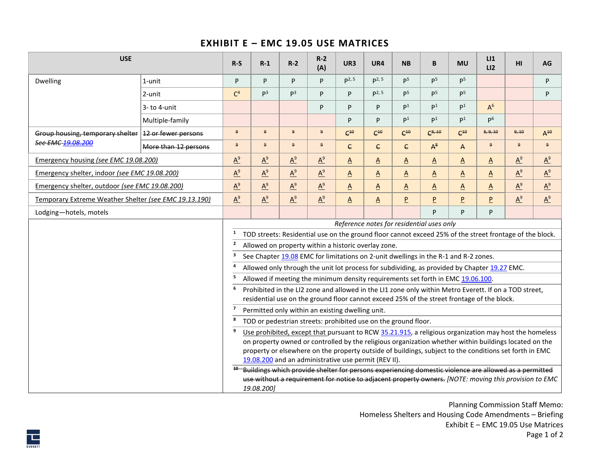### **EXHIBIT E – EMC 19.05 USE MATRICES**

| <b>USE</b>                                             |                      | $R-S$          | $R-1$          | $R-2$            | $R-2$<br>(A)                                     | UR3                      | UR4                                                                                                                                                                                                                                                                                                                                                                                                                                                                                                                                                                                                                                                                                                                                                                                                                                                                                                                                                                                                                                                                                                                                                                                                                                                                                                                                                                                | <b>NB</b>                | B               | <b>MU</b>                | LI<br>LI <sub>2</sub>    | HI           | AG       |
|--------------------------------------------------------|----------------------|----------------|----------------|------------------|--------------------------------------------------|--------------------------|------------------------------------------------------------------------------------------------------------------------------------------------------------------------------------------------------------------------------------------------------------------------------------------------------------------------------------------------------------------------------------------------------------------------------------------------------------------------------------------------------------------------------------------------------------------------------------------------------------------------------------------------------------------------------------------------------------------------------------------------------------------------------------------------------------------------------------------------------------------------------------------------------------------------------------------------------------------------------------------------------------------------------------------------------------------------------------------------------------------------------------------------------------------------------------------------------------------------------------------------------------------------------------------------------------------------------------------------------------------------------------|--------------------------|-----------------|--------------------------|--------------------------|--------------|----------|
| Dwelling                                               | 1-unit               | P              | P              | P                | P                                                | P <sup>2, 5</sup>        | $p^2, 5$                                                                                                                                                                                                                                                                                                                                                                                                                                                                                                                                                                                                                                                                                                                                                                                                                                                                                                                                                                                                                                                                                                                                                                                                                                                                                                                                                                           | $\mathsf{P}^5$           | $\mathsf{P}^5$  | P <sup>5</sup>           |                          |              | P        |
|                                                        | 2-unit               | C <sup>4</sup> | P <sup>3</sup> | $\mathsf{p}^3$   | P                                                | P                        | $p2$ , 5                                                                                                                                                                                                                                                                                                                                                                                                                                                                                                                                                                                                                                                                                                                                                                                                                                                                                                                                                                                                                                                                                                                                                                                                                                                                                                                                                                           | $\mathsf{P}^5$           | p <sup>5</sup>  | p <sub>5</sub>           |                          |              | P        |
|                                                        | 3-to 4-unit          |                |                |                  | P                                                | P                        | P                                                                                                                                                                                                                                                                                                                                                                                                                                                                                                                                                                                                                                                                                                                                                                                                                                                                                                                                                                                                                                                                                                                                                                                                                                                                                                                                                                                  | $\mathsf{P}^1$           | $\mathsf{D}^1$  | $\mathsf{D}^1$           | $A^6$                    |              |          |
|                                                        | Multiple-family      |                |                |                  |                                                  | P                        | P                                                                                                                                                                                                                                                                                                                                                                                                                                                                                                                                                                                                                                                                                                                                                                                                                                                                                                                                                                                                                                                                                                                                                                                                                                                                                                                                                                                  | $\mathsf{P}^1$           | $\mathsf{P}^1$  | $\mathsf{P}^1$           | P <sub>6</sub>           |              |          |
| Group housing, temporary shelter   12 or fewer persons |                      | 9              | 9              | $\mathbf{9}$     | 9                                                | $C^{10}$                 | $C^{10}$                                                                                                                                                                                                                                                                                                                                                                                                                                                                                                                                                                                                                                                                                                                                                                                                                                                                                                                                                                                                                                                                                                                                                                                                                                                                                                                                                                           | $C^{10}$                 | $C^{8, 10}$     | $C^{10}$                 | 8, 9, 10                 | 9, 10        | $A^{10}$ |
| See EMC 19.08.200                                      | More than 12 persons | 9              | 9 <sup>°</sup> | $\boldsymbol{9}$ | 9                                                | $\epsilon$               | <sub>C</sub>                                                                                                                                                                                                                                                                                                                                                                                                                                                                                                                                                                                                                                                                                                                                                                                                                                                                                                                                                                                                                                                                                                                                                                                                                                                                                                                                                                       | $\epsilon$               | $A^8$           | $\mathsf{A}$             | 9 <sup>°</sup>           | $\mathbf{q}$ | 9        |
| Emergency housing (see EMC 19.08.200)                  |                      | $A^9$          | $A^9$          | $A^9$            | $A^9$                                            | $\Delta$                 | $\Delta$                                                                                                                                                                                                                                                                                                                                                                                                                                                                                                                                                                                                                                                                                                                                                                                                                                                                                                                                                                                                                                                                                                                                                                                                                                                                                                                                                                           | $\Delta$                 | $\underline{A}$ | $\underline{\mathsf{A}}$ | $\Delta$                 | $A^9$        | $A^9$    |
| Emergency shelter, indoor (see EMC 19.08.200)          |                      | $A^9$          | $A^9$          | $A^9$            | $A^9$                                            | $\overline{A}$           | $\underline{A}$                                                                                                                                                                                                                                                                                                                                                                                                                                                                                                                                                                                                                                                                                                                                                                                                                                                                                                                                                                                                                                                                                                                                                                                                                                                                                                                                                                    | $\Delta$                 | $\underline{A}$ | $\underline{\mathsf{A}}$ | $\Delta$                 | $A^9$        | $A^9$    |
| Emergency shelter, outdoor (see EMC 19.08.200)         |                      | $A^9$          | $A^9$          | $A^9$            | $A^9$                                            | $\underline{\mathsf{A}}$ | $\Delta$                                                                                                                                                                                                                                                                                                                                                                                                                                                                                                                                                                                                                                                                                                                                                                                                                                                                                                                                                                                                                                                                                                                                                                                                                                                                                                                                                                           | $\underline{\mathsf{A}}$ | $\underline{A}$ | $\underline{\mathsf{A}}$ | $\underline{\mathsf{A}}$ | $A^9$        | $A^9$    |
| Temporary Extreme Weather Shelter (see EMC 19.13.190)  |                      | $A^9$          | $A^9$          | $A^9$            | $A^9$                                            | $\underline{\mathsf{A}}$ | $\underline{A}$                                                                                                                                                                                                                                                                                                                                                                                                                                                                                                                                                                                                                                                                                                                                                                                                                                                                                                                                                                                                                                                                                                                                                                                                                                                                                                                                                                    | $\overline{P}$           | $\overline{P}$  | $\overline{P}$           | $\overline{P}$           | $A^9$        | $A^9$    |
| Lodging-hotels, motels                                 |                      |                |                |                  |                                                  |                          |                                                                                                                                                                                                                                                                                                                                                                                                                                                                                                                                                                                                                                                                                                                                                                                                                                                                                                                                                                                                                                                                                                                                                                                                                                                                                                                                                                                    |                          | P               | P                        | P                        |              |          |
|                                                        |                      | $\overline{2}$ | 19.08.200]     |                  | Permitted only within an existing dwelling unit. |                          | Reference notes for residential uses only<br>TOD streets: Residential use on the ground floor cannot exceed 25% of the street frontage of the block.<br>Allowed on property within a historic overlay zone.<br>See Chapter 19.08 EMC for limitations on 2-unit dwellings in the R-1 and R-2 zones.<br>Allowed only through the unit lot process for subdividing, as provided by Chapter 19.27 EMC.<br>Allowed if meeting the minimum density requirements set forth in EMC 19.06.100.<br>Prohibited in the LI2 zone and allowed in the LI1 zone only within Metro Everett. If on a TOD street,<br>residential use on the ground floor cannot exceed 25% of the street frontage of the block.<br>TOD or pedestrian streets: prohibited use on the ground floor.<br>Use prohibited, except that pursuant to RCW 35.21.915, a religious organization may host the homeless<br>on property owned or controlled by the religious organization whether within buildings located on the<br>property or elsewhere on the property outside of buildings, subject to the conditions set forth in EMC<br>19.08.200 and an administrative use permit (REV II).<br><sup>40</sup> Buildings which provide shelter for persons experiencing domestic violence are allowed as a permitted<br>use without a requirement for notice to adjacent property owners. [NOTE: moving this provision to EMC |                          |                 |                          |                          |              |          |

Planning Commission Staff Memo: Homeless Shelters and Housing Code Amendments – Briefing Exhibit E – EMC 19.05 Use Matrices Page 1 of 2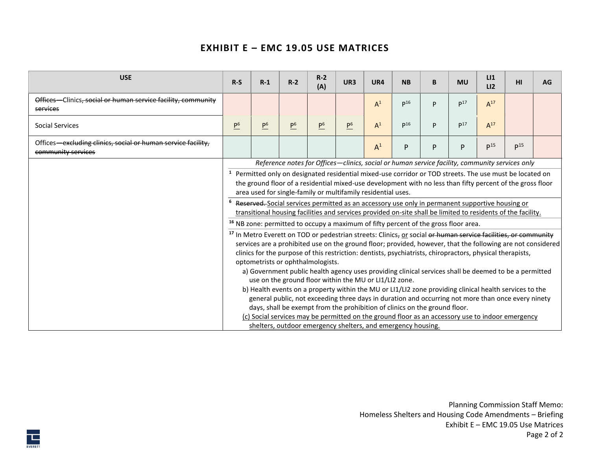# **EXHIBIT E – EMC 19.05 USE MATRICES**

| <b>USE</b>                                                                         | $R-S$                                                                                                                                                                                                                                                                                                                                                                                                                                                                                                                                                                                                                                                                                                                                                                                                                                                                                                                                                                                                                                                                                                                                                                                                                                                                                                                                                                                                                                                                                                                                                                                                                                                                                                    | $R-1$          | $R-2$          | $R-2$<br>(A)   | UR3            | UR4   | <b>NB</b> | B | <b>MU</b>       | LI<br>LI <sub>2</sub> | нı              | AG |
|------------------------------------------------------------------------------------|----------------------------------------------------------------------------------------------------------------------------------------------------------------------------------------------------------------------------------------------------------------------------------------------------------------------------------------------------------------------------------------------------------------------------------------------------------------------------------------------------------------------------------------------------------------------------------------------------------------------------------------------------------------------------------------------------------------------------------------------------------------------------------------------------------------------------------------------------------------------------------------------------------------------------------------------------------------------------------------------------------------------------------------------------------------------------------------------------------------------------------------------------------------------------------------------------------------------------------------------------------------------------------------------------------------------------------------------------------------------------------------------------------------------------------------------------------------------------------------------------------------------------------------------------------------------------------------------------------------------------------------------------------------------------------------------------------|----------------|----------------|----------------|----------------|-------|-----------|---|-----------------|-----------------------|-----------------|----|
| Offices-Clinics, social or human service facility, community<br>services           |                                                                                                                                                                                                                                                                                                                                                                                                                                                                                                                                                                                                                                                                                                                                                                                                                                                                                                                                                                                                                                                                                                                                                                                                                                                                                                                                                                                                                                                                                                                                                                                                                                                                                                          |                |                |                |                | $A^1$ | $p^{16}$  | D | p17             | $A^{17}$              |                 |    |
| <b>Social Services</b>                                                             | P <sup>6</sup>                                                                                                                                                                                                                                                                                                                                                                                                                                                                                                                                                                                                                                                                                                                                                                                                                                                                                                                                                                                                                                                                                                                                                                                                                                                                                                                                                                                                                                                                                                                                                                                                                                                                                           | P <sup>6</sup> | P <sup>6</sup> | P <sup>6</sup> | $\mathsf{P}^6$ | $A^1$ | $p^{16}$  | P | p <sup>17</sup> | $A^{17}$              |                 |    |
| Offices—excluding clinics, social or human service facility,<br>community services |                                                                                                                                                                                                                                                                                                                                                                                                                                                                                                                                                                                                                                                                                                                                                                                                                                                                                                                                                                                                                                                                                                                                                                                                                                                                                                                                                                                                                                                                                                                                                                                                                                                                                                          |                |                |                |                | $A^1$ | P         | P | P               | p <sup>15</sup>       | p <sup>15</sup> |    |
|                                                                                    | Reference notes for Offices-clinics, social or human service facility, community services only<br><sup>1</sup> Permitted only on designated residential mixed-use corridor or TOD streets. The use must be located on<br>the ground floor of a residential mixed-use development with no less than fifty percent of the gross floor<br>area used for single-family or multifamily residential uses.<br><sup>6</sup> Reserved. Social services permitted as an accessory use only in permanent supportive housing or<br>transitional housing facilities and services provided on-site shall be limited to residents of the facility.<br><sup>16</sup> NB zone: permitted to occupy a maximum of fifty percent of the gross floor area.<br><sup>17</sup> In Metro Everett on TOD or pedestrian streets: Clinics, or social or human service facilities, or community<br>services are a prohibited use on the ground floor; provided, however, that the following are not considered<br>clinics for the purpose of this restriction: dentists, psychiatrists, chiropractors, physical therapists,<br>optometrists or ophthalmologists.<br>a) Government public health agency uses providing clinical services shall be deemed to be a permitted<br>use on the ground floor within the MU or LI1/LI2 zone.<br>b) Health events on a property within the MU or LI1/LI2 zone providing clinical health services to the<br>general public, not exceeding three days in duration and occurring not more than once every ninety<br>days, shall be exempt from the prohibition of clinics on the ground floor.<br>(c) Social services may be permitted on the ground floor as an accessory use to indoor emergency |                |                |                |                |       |           |   |                 |                       |                 |    |